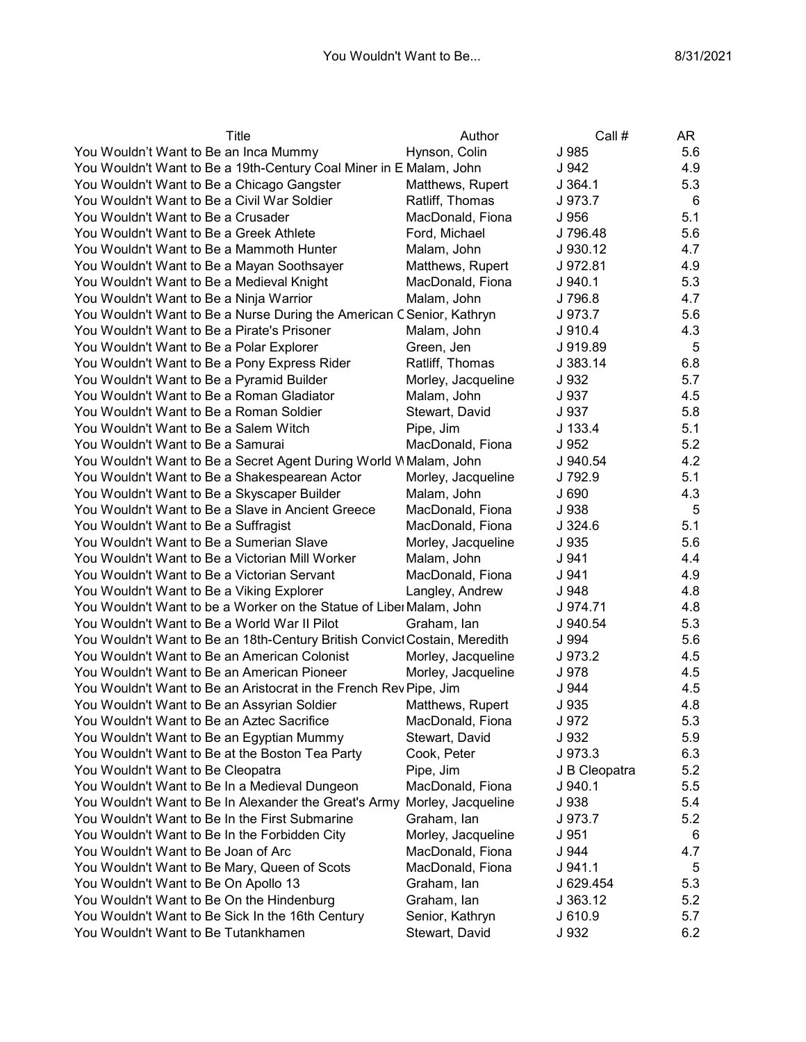| Title                                                                     | Author             | Call #        | AR  |
|---------------------------------------------------------------------------|--------------------|---------------|-----|
| You Wouldn't Want to Be an Inca Mummy                                     | Hynson, Colin      | J 985         | 5.6 |
| You Wouldn't Want to Be a 19th-Century Coal Miner in E Malam, John        |                    | J 942         | 4.9 |
| You Wouldn't Want to Be a Chicago Gangster                                | Matthews, Rupert   | J 364.1       | 5.3 |
| You Wouldn't Want to Be a Civil War Soldier                               | Ratliff, Thomas    | J 973.7       | 6   |
| You Wouldn't Want to Be a Crusader                                        | MacDonald, Fiona   | J 956         | 5.1 |
| You Wouldn't Want to Be a Greek Athlete                                   | Ford, Michael      | J 796.48      | 5.6 |
| You Wouldn't Want to Be a Mammoth Hunter                                  | Malam, John        | J 930.12      | 4.7 |
| You Wouldn't Want to Be a Mayan Soothsayer                                | Matthews, Rupert   | J 972.81      | 4.9 |
| You Wouldn't Want to Be a Medieval Knight                                 | MacDonald, Fiona   | J.940.1       | 5.3 |
| You Wouldn't Want to Be a Ninja Warrior                                   | Malam, John        | J 796.8       | 4.7 |
| You Wouldn't Want to Be a Nurse During the American C Senior, Kathryn     |                    | J 973.7       | 5.6 |
| You Wouldn't Want to Be a Pirate's Prisoner                               | Malam, John        | J 910.4       | 4.3 |
| You Wouldn't Want to Be a Polar Explorer                                  | Green, Jen         | J 919.89      | 5   |
| You Wouldn't Want to Be a Pony Express Rider                              | Ratliff, Thomas    | J 383.14      | 6.8 |
| You Wouldn't Want to Be a Pyramid Builder                                 | Morley, Jacqueline | J 932         | 5.7 |
| You Wouldn't Want to Be a Roman Gladiator                                 | Malam, John        | J 937         | 4.5 |
| You Wouldn't Want to Be a Roman Soldier                                   | Stewart, David     | J 937         | 5.8 |
| You Wouldn't Want to Be a Salem Witch                                     | Pipe, Jim          | J 133.4       | 5.1 |
| You Wouldn't Want to Be a Samurai                                         | MacDonald, Fiona   | J 952         | 5.2 |
| You Wouldn't Want to Be a Secret Agent During World W Malam, John         |                    | J 940.54      | 4.2 |
| You Wouldn't Want to Be a Shakespearean Actor                             | Morley, Jacqueline | J 792.9       | 5.1 |
| You Wouldn't Want to Be a Skyscaper Builder                               | Malam, John        | J 690         | 4.3 |
| You Wouldn't Want to Be a Slave in Ancient Greece                         | MacDonald, Fiona   | J 938         | 5   |
| You Wouldn't Want to Be a Suffragist                                      | MacDonald, Fiona   | J324.6        | 5.1 |
| You Wouldn't Want to Be a Sumerian Slave                                  | Morley, Jacqueline | J 935         | 5.6 |
| You Wouldn't Want to Be a Victorian Mill Worker                           | Malam, John        | J 941         | 4.4 |
| You Wouldn't Want to Be a Victorian Servant                               | MacDonald, Fiona   | J 941         | 4.9 |
| You Wouldn't Want to Be a Viking Explorer                                 | Langley, Andrew    | J 948         | 4.8 |
| You Wouldn't Want to be a Worker on the Statue of Libe Malam, John        |                    | J 974.71      | 4.8 |
| You Wouldn't Want to Be a World War II Pilot                              | Graham, Ian        | J 940.54      | 5.3 |
| You Wouldn't Want to Be an 18th-Century British Convict Costain, Meredith |                    | J 994         | 5.6 |
| You Wouldn't Want to Be an American Colonist                              | Morley, Jacqueline | J 973.2       | 4.5 |
| You Wouldn't Want to Be an American Pioneer                               | Morley, Jacqueline | J 978         | 4.5 |
| You Wouldn't Want to Be an Aristocrat in the French Rev Pipe, Jim         |                    | J 944         | 4.5 |
| You Wouldn't Want to Be an Assyrian Soldier                               | Matthews, Rupert   | J 935         | 4.8 |
| You Wouldn't Want to Be an Aztec Sacrifice                                | MacDonald, Fiona   | J 972         | 5.3 |
| You Wouldn't Want to Be an Egyptian Mummy                                 | Stewart, David     | J 932         | 5.9 |
| You Wouldn't Want to Be at the Boston Tea Party                           | Cook, Peter        | J973.3        | 6.3 |
| You Wouldn't Want to Be Cleopatra                                         | Pipe, Jim          | J B Cleopatra | 5.2 |
| You Wouldn't Want to Be In a Medieval Dungeon                             | MacDonald, Fiona   | J940.1        | 5.5 |
| You Wouldn't Want to Be In Alexander the Great's Army                     | Morley, Jacqueline | J 938         | 5.4 |
| You Wouldn't Want to Be In the First Submarine                            | Graham, Ian        | J 973.7       | 5.2 |
| You Wouldn't Want to Be In the Forbidden City                             | Morley, Jacqueline | J 951         | 6   |
| You Wouldn't Want to Be Joan of Arc                                       | MacDonald, Fiona   | J 944         | 4.7 |
| You Wouldn't Want to Be Mary, Queen of Scots                              | MacDonald, Fiona   | J.941.1       | 5   |
| You Wouldn't Want to Be On Apollo 13                                      | Graham, lan        | J 629.454     | 5.3 |
| You Wouldn't Want to Be On the Hindenburg                                 | Graham, lan        | J 363.12      | 5.2 |
| You Wouldn't Want to Be Sick In the 16th Century                          | Senior, Kathryn    | J 610.9       | 5.7 |
| You Wouldn't Want to Be Tutankhamen                                       | Stewart, David     | J 932         | 6.2 |
|                                                                           |                    |               |     |